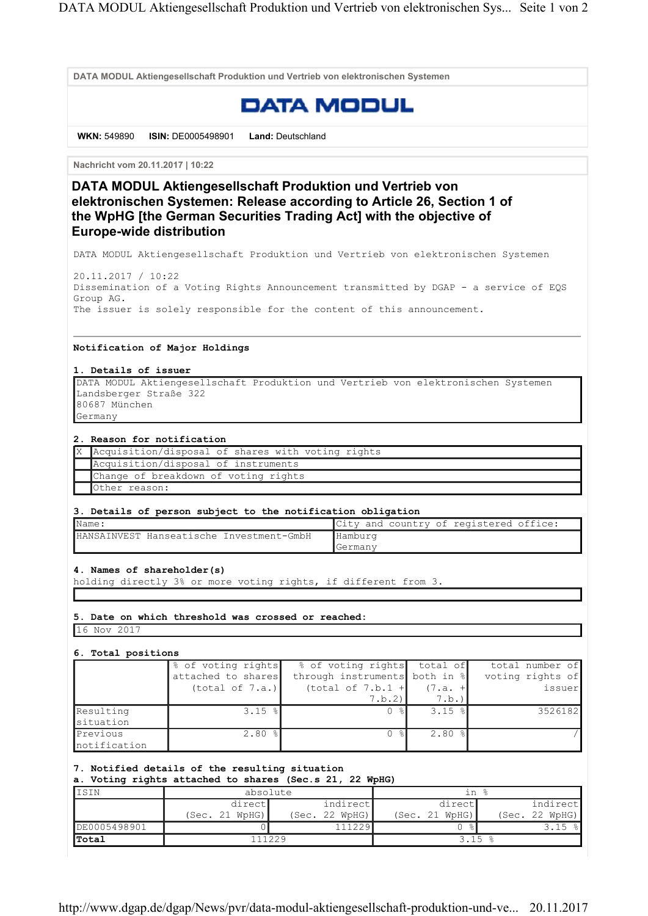